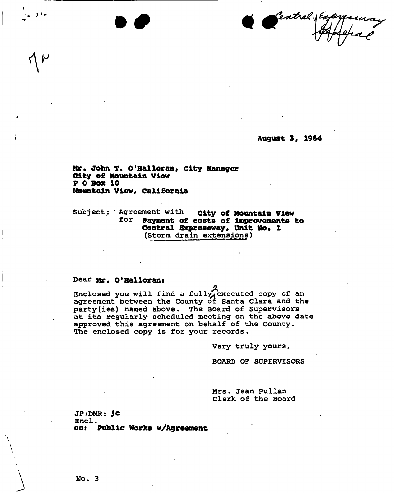Seatral VEry . The same state  $\mathbf{v}$  and  $\mathbf{v}$ 

**August 3, 1964** 

Mr. John T. O'Halloran, City Manager **City of Mountain View P 0 Box 10 Mountain View, California** 

**Subject: Agreement with city of Mountain View for payment of costs of Improvements to Central Expressway,** unit **N6« 1 (Storm drain extensions)** 

## **Dear Mr. O<sup>f</sup>Hallorant**

*A*  **Enclosed you will find a full^executed copy of an**  agreement between the County of Santa Clara and the **party(ies) named above. The Board of Supervisors at its regularly scheduled meeting on the above date approved this agreement on behalf of the County. The enclosed copy is for your records-**

**Very truly yours,** 

**BOARD OF SUPERVISORS** 

**Mrs. Jean Pullan Clerk of the Board** 

**JP;DMR: Jc**  Encl. **cot Pvfbllc Works w/Agreement**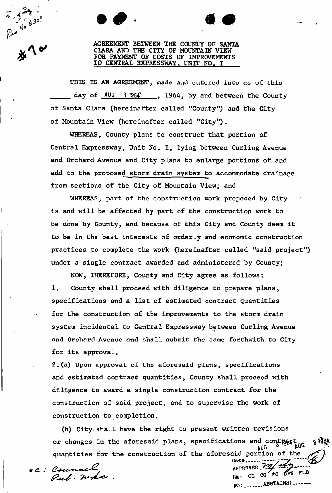Rep No 6309

AGREEMENT BETWEEN THE COUNTY OF SANTA CLARA AND THE CITY OF MOUNTAIN VIEW FOR PAYMENT OF COSTS OF IMPROVEMENTS TO CENTRAL EXPRESSWAY. UNIT NO, I

THIS IS AN AGREEMENT, made and entered into as of this day of  $\frac{\text{AUG}}{3.1964}$ , 1964, by and between the County of Santa Clara (hereinafter called "County") and the City of Mountain View (hereinafter called "City").

WHEREAS, County plans to construct that portion of Central Expressway, Unit No. I, lying between Curling Avenue and Orchard Avenue and City plans to enlarge portions of and add to the proposed storm drain system to accommodate drainage from sections of the City of Mountain View; and

WHEREAS, part of the construction work proposed by City is and will be affected by part of the construction work to be done by County, and because of this City and County deem it to be in the best interests of orderly and economic construction practices to complete the work (hereinafter called "said project") under a single contract awarded and administered by County;

NOW, THEREFORE, County and City agree as follows: 1. County shall proceed with diligence to prepare plans, specifications and a list of estimated contract quantities for the construction of the improvements to the storm drain system incidental to Central Expressway between Curling Avenue and Orchard Avenue and shall submit the same forthwith to City for its approval.

2,(a) Upon approval of the aforesaid plans, specifications and estimated contract quantities, County shall proceed with diligence to award a single construction contract for the construction of said project, and to supervise the work of construction to completion.

(b) City, shall have the right to present written revisions or changes in the aforesaid plans, specifications and contract and  $3^{198}$  $k$ UG  $\sim$   $k$ quantities for the construction of the aforesaid portion of the

ec: Counsel<br>*Bub*. Whe

Date, *v~y*   $M$ :  $CE$   $CC$   $PC$   $CP$   $CP$   $FLO$ **ABSTAINS:**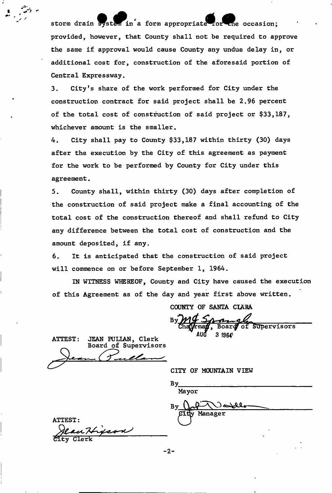storm drain system in a form appropriate for ane occasion; provided, however, that County shall not be required to approve the same if approval would cause County any undue delay in, or additional cost for, construction of the aforesaid portion of Central Expressway.

3. City's share of the work performed for City under the construction contract for said project shall be 2.96 percent of the total cost of construction of said project or \$33,187, whichever amount is the smaller.

4. City shall pay to County \$33,187 within thirty (30) days after the execution by the City of this agreement as payment for the work to be performed by County for City under this agreement.

5. County shall, within thirty (30) days after completion of the construction of said project make a final accounting of the total cost of the construction thereof and shall refund to City any difference between the total cost of construction and the amount deposited, if any.

6. It is anticipated that the construction of said project will commence on or before September 1, 1964.

IN WITNESS WHEREOF, County and City have caused the execution of this Agreement as of the day and year first above written.

COUNTY OF SANTA CIARA

 $\overline{\mathsf{of}}$ Supervisors Board  $31964$ 

ATTEST: JEAN PULIAN, Clerk Board of Supervisors *C S* 

CITY OF MOUNTAIN VIEW

ATTEST: City Clerk

 $-2-$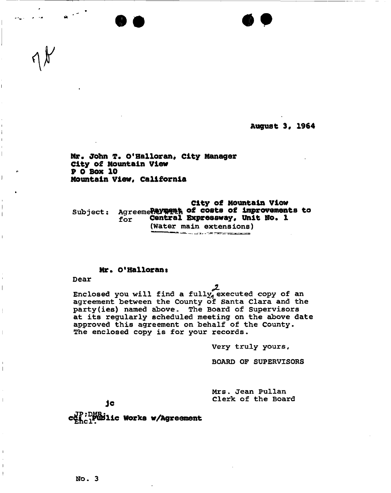**August 3\* 1964** 

Mr. John T. O'Halloran, City Manager **City of Mountain View P 0 Box 10 Mountain View, California** 

**City of Mountain Viow**  Subject: Agreeme Peyment of costs of improvements to **f <sup>o</sup> <sup>r</sup> Central Expressway, Uhlt No. 1 (Water main extensions)** 

## **Mr. O'Halloran:**

**Dear** 

 $\mathbf{I}$ 

 $\lvert$ 

**Enclosed you will find a fullv^ executed copy of an agreement between the County of Santa Clara and the party(ies) named above. The Board of Supervisors at its regularly scheduled meeting on the above date approved this agreement on behalf of the County. The enclosed copy is for your records.** 

**Very truly yours,** 

**BOARD OF SUPERVISORS** 

**Mrs. Jean Pullan Clerk of the Board** 

1c

**c**<sup>B</sup><sub>Ehcl</sub>Public Works w/Agreement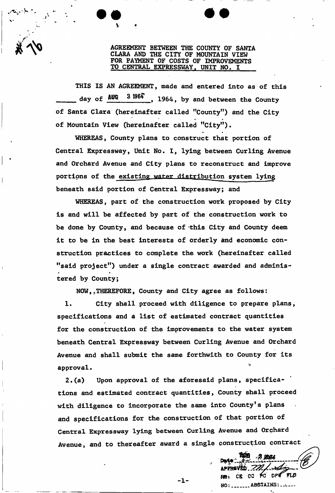AGREEMENT BETWEEN THE COUNTY OF SANTA CLARA AND THE CITY OF MOUNTAIN VIEW FOR PAYMENT OF COSTS OF IMPROVEMENTS TO CENTRAL EXPRESSWAY, UNIT NO, I

THIS IS AN AGREEMENT, made and entered into as of this day of  $\frac{\text{AUG}}{2}$  3 1964, by and between the County of Santa Clara (hereinafter called "County") and the City of Mountain View (hereinafter called "City")

V

WHEREAS, County plans to construct that portion of Central Expressway, Unit No. I, lying between Curling Avenue and Orchard Avenue and City plans to reconstruct and improve portions of the existing water distribution system lying beneath said portion of Central Expressway; and

WHEREAS, part of the construction work proposed by City is and will be affected by part of the construction work to be done by County, and because of -this City and County deem it to be in the best interests of orderly and economic construction practices to complete the work (hereinafter called "said project") under a single contract awarded and administered by County;

NOW,, THEREFORE, County and City agree as follows:

1. City shall proceed with diligence to prepare plans, specifications and a list of estimated contract quantities for the construction of the improvements to the water system beneath Central Expressway between Curling Avenue and Orchard Avenue and shall submit the same forthwith to County for its approval.

2.(a) Upon approval of the aforesaid plans, specifications and estimated contract quantities, County shall proceed with diligence to incorporate the same into County's plans and specifications for the construction of that portion of Central Expressway lying between Curling Avenue and Orchard Avenue, and to thereafter award a single construction contract

 $-1-$ 

approvéd. *722,* RES CE CO PO DPO FLD NO: ........ ABSTAINS: .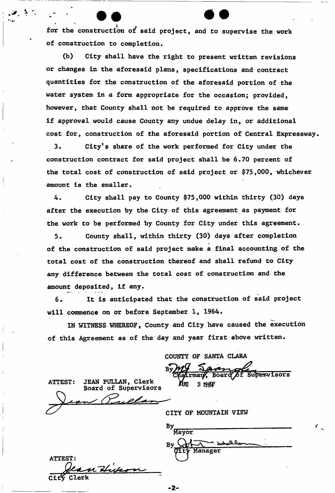for the construction of said project, and to supervise the work of construction to completion.

 $2<sub>z</sub>$ 

(b) City shall have the right to present written revisions or changes in the aforesaid plans, specifications and contract quantities for the construction of the aforesaid portion of the water system in a form appropriate for the occasion; provided, however, that County shall not be required to approve the same if approval would cause County any undue delay in, or additional cost for, construction of the aforesaid portion of Central Expressway.

3. City's share of the work performed for City under the construction contract for said project shall be 6.70 percent of the total cost of construction of said project or \$75,000, whichever amount is the smaller.

4. City shall pay to County \$75,000 within thirty (30) days after the execution by the City of this agreement as payment for the work to be performed by County for City under this agreement.

5. County shall, within thirty (30) days after completion of the construction of said project make a final accounting of the total cost of the construction thereof and shall refund to City any difference between the total cost of construction and the amount deposited, if any.

6. It is anticipated that the construction of said project will commence on or before September 1, 1964.

IN WITNESS WHEREOF, County and City have caused the execution of this Agreement as of the day and year first above written.

. ?-

COUNTY OF SANTA CLARA Supervisors irman Board aug  $3196F$ 

JEAN PULLAN, Clerk<br>Board of Supervisors **ATTEST:** elan

CITY OF MOUNTAIN VIEW

| <b>ATTEST:</b> |    |  |
|----------------|----|--|
| City Clerk     | 49 |  |
|                |    |  |

| B     |         |  |  |
|-------|---------|--|--|
| Mayor |         |  |  |
| Вy    |         |  |  |
| ਕੰਦਿ  | Manager |  |  |
|       |         |  |  |

 $\mathbf{y}^{\dagger}$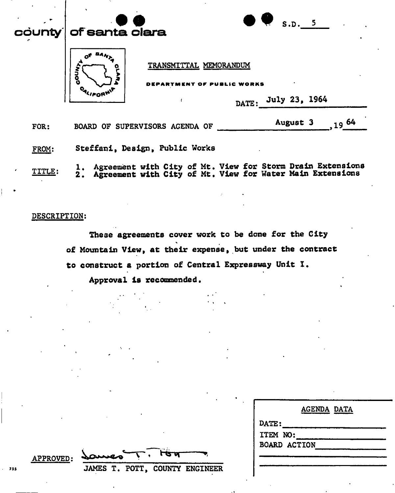|                      | S.D. 5<br>county of santa clara                                                                                               |
|----------------------|-------------------------------------------------------------------------------------------------------------------------------|
|                      | TRANSMITTAL MEMORANDUM<br><b>MOOO</b><br>ARTMENT OF PUBLIC WORKS<br>July 23, 1964<br>DATE:                                    |
| FOR:                 | $19^{64}$<br>August 3<br>BOARD OF SUPERVISORS AGENDA OF                                                                       |
| FROM:                | Steffani, Design, Public Works                                                                                                |
| $\epsilon$<br>TITLE: | 1. Agreement with City of Mt. View for Storm Drain Extensions<br>2. Agreement with City of Mt. View for Water Main Extensions |

## DESCRIPTION:

These agreements cover work to be done for the City of Mountain View, at their expense, but under the contract to construct a portion of Central Expressway Unit I.

2. Agreement with City of Mt. View for Water Main Extensions

Approval is recommended.

| <b>AGENDA DATA</b>  |
|---------------------|
| DATE:               |
| ITEM NO:            |
| <b>BOARD ACTION</b> |
|                     |
|                     |

 $APPROVED:$ <sup>755</sup> JAMES T. POTT, COUNTY ENGINEER